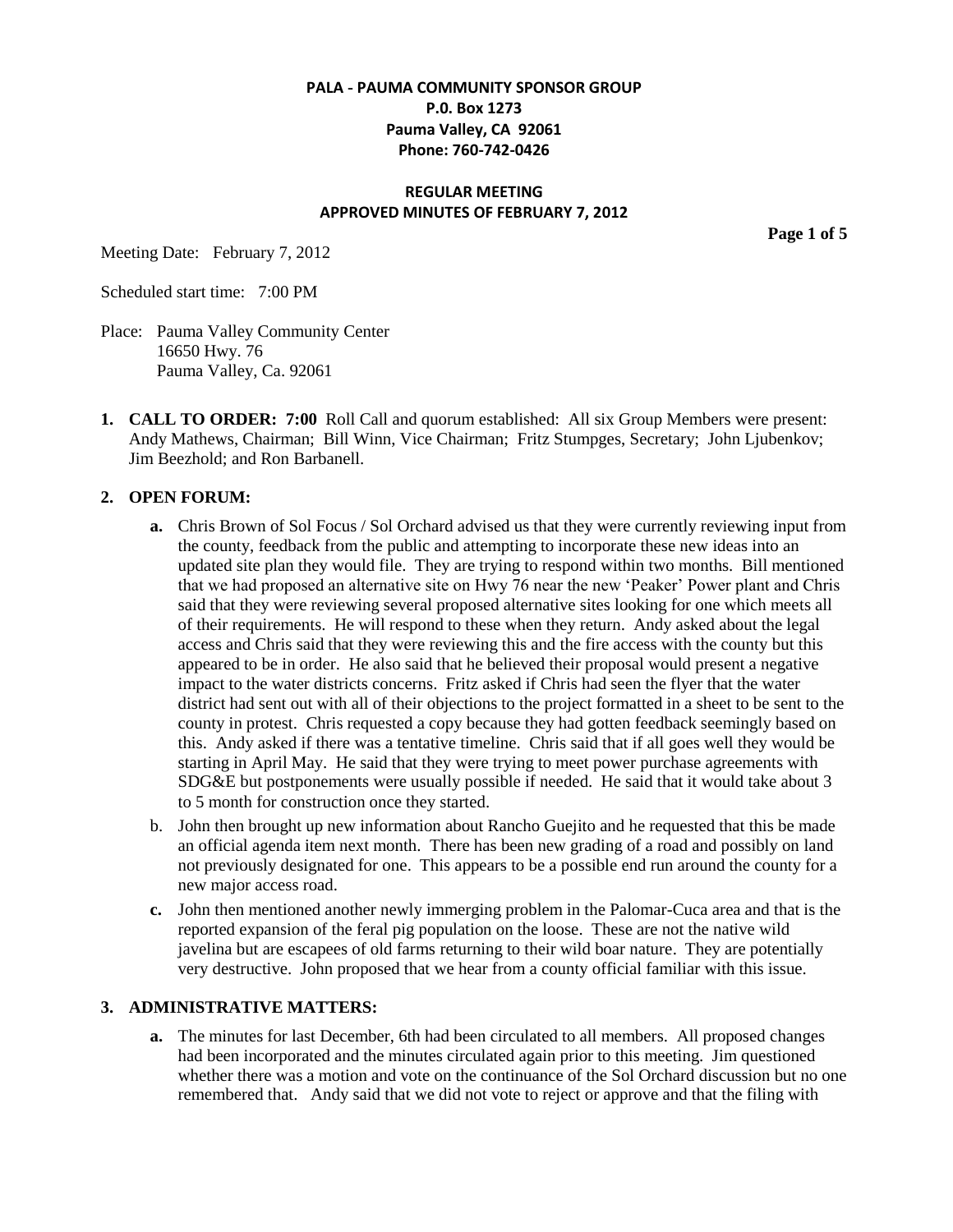## **PALA - PAUMA COMMUNITY SPONSOR GROUP P.0. Box 1273 Pauma Valley, CA 92061 Phone: 760-742-0426**

### **REGULAR MEETING APPROVED MINUTES OF FEBRUARY 7, 2012**

Meeting Date: February 7, 2012

Scheduled start time: 7:00 PM

- Place: Pauma Valley Community Center 16650 Hwy. 76 Pauma Valley, Ca. 92061
- **1. CALL TO ORDER: 7:00** Roll Call and quorum established: All six Group Members were present: Andy Mathews, Chairman; Bill Winn, Vice Chairman; Fritz Stumpges, Secretary; John Ljubenkov; Jim Beezhold; and Ron Barbanell.

### **2. OPEN FORUM:**

- **a.** Chris Brown of Sol Focus / Sol Orchard advised us that they were currently reviewing input from the county, feedback from the public and attempting to incorporate these new ideas into an updated site plan they would file. They are trying to respond within two months. Bill mentioned that we had proposed an alternative site on Hwy 76 near the new 'Peaker' Power plant and Chris said that they were reviewing several proposed alternative sites looking for one which meets all of their requirements. He will respond to these when they return. Andy asked about the legal access and Chris said that they were reviewing this and the fire access with the county but this appeared to be in order. He also said that he believed their proposal would present a negative impact to the water districts concerns. Fritz asked if Chris had seen the flyer that the water district had sent out with all of their objections to the project formatted in a sheet to be sent to the county in protest. Chris requested a copy because they had gotten feedback seemingly based on this. Andy asked if there was a tentative timeline. Chris said that if all goes well they would be starting in April May. He said that they were trying to meet power purchase agreements with SDG&E but postponements were usually possible if needed. He said that it would take about 3 to 5 month for construction once they started.
- b. John then brought up new information about Rancho Guejito and he requested that this be made an official agenda item next month. There has been new grading of a road and possibly on land not previously designated for one. This appears to be a possible end run around the county for a new major access road.
- **c.** John then mentioned another newly immerging problem in the Palomar-Cuca area and that is the reported expansion of the feral pig population on the loose. These are not the native wild javelina but are escapees of old farms returning to their wild boar nature. They are potentially very destructive. John proposed that we hear from a county official familiar with this issue.

### **3. ADMINISTRATIVE MATTERS:**

**a.** The minutes for last December, 6th had been circulated to all members. All proposed changes had been incorporated and the minutes circulated again prior to this meeting. Jim questioned whether there was a motion and vote on the continuance of the Sol Orchard discussion but no one remembered that. Andy said that we did not vote to reject or approve and that the filing with

**Page 1 of 5**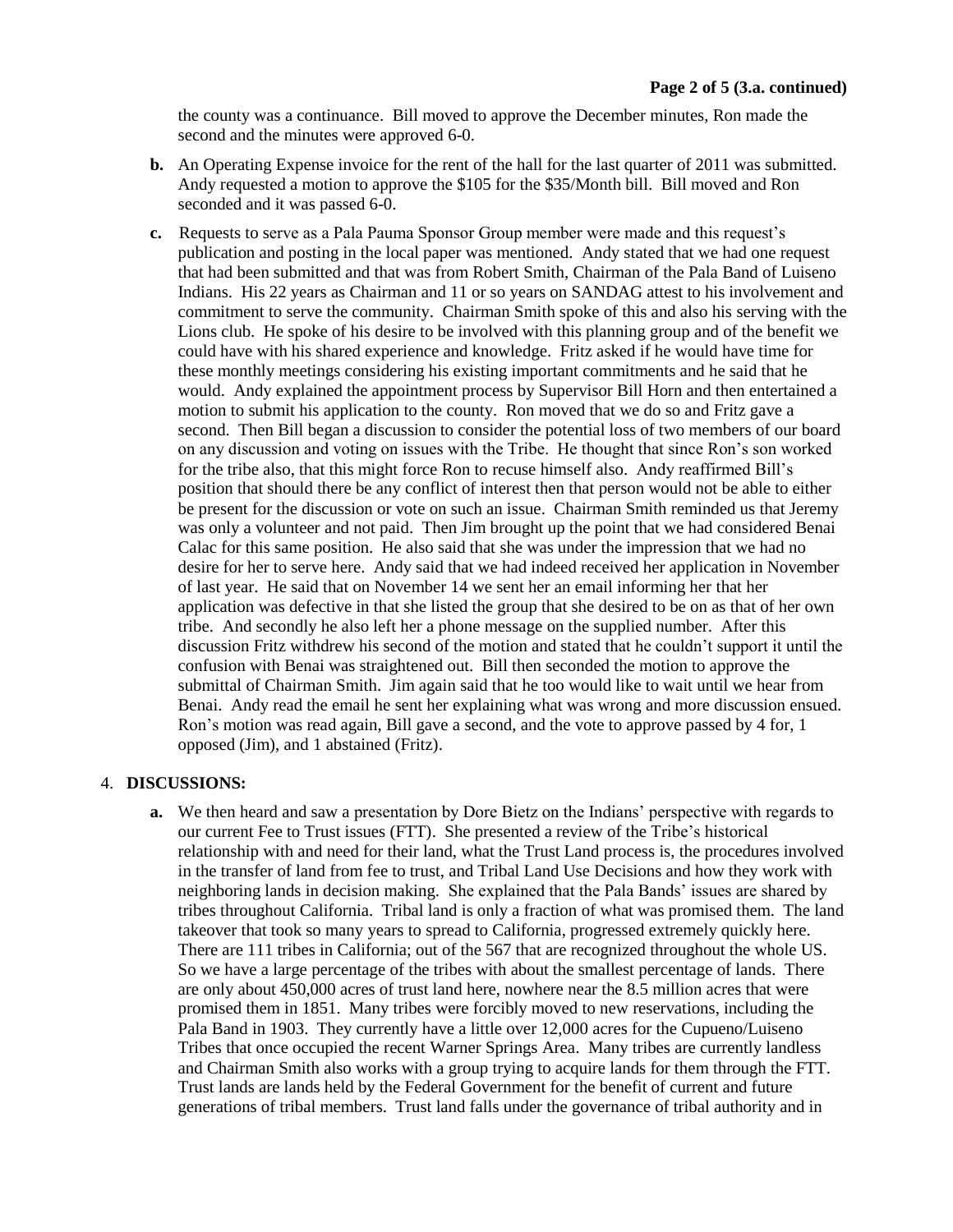the county was a continuance. Bill moved to approve the December minutes, Ron made the second and the minutes were approved 6-0.

- **b.** An Operating Expense invoice for the rent of the hall for the last quarter of 2011 was submitted. Andy requested a motion to approve the \$105 for the \$35/Month bill. Bill moved and Ron seconded and it was passed 6-0.
- **c.** Requests to serve as a Pala Pauma Sponsor Group member were made and this request's publication and posting in the local paper was mentioned. Andy stated that we had one request that had been submitted and that was from Robert Smith, Chairman of the Pala Band of Luiseno Indians. His 22 years as Chairman and 11 or so years on SANDAG attest to his involvement and commitment to serve the community. Chairman Smith spoke of this and also his serving with the Lions club. He spoke of his desire to be involved with this planning group and of the benefit we could have with his shared experience and knowledge. Fritz asked if he would have time for these monthly meetings considering his existing important commitments and he said that he would. Andy explained the appointment process by Supervisor Bill Horn and then entertained a motion to submit his application to the county. Ron moved that we do so and Fritz gave a second. Then Bill began a discussion to consider the potential loss of two members of our board on any discussion and voting on issues with the Tribe. He thought that since Ron's son worked for the tribe also, that this might force Ron to recuse himself also. Andy reaffirmed Bill's position that should there be any conflict of interest then that person would not be able to either be present for the discussion or vote on such an issue. Chairman Smith reminded us that Jeremy was only a volunteer and not paid. Then Jim brought up the point that we had considered Benai Calac for this same position. He also said that she was under the impression that we had no desire for her to serve here. Andy said that we had indeed received her application in November of last year. He said that on November 14 we sent her an email informing her that her application was defective in that she listed the group that she desired to be on as that of her own tribe. And secondly he also left her a phone message on the supplied number. After this discussion Fritz withdrew his second of the motion and stated that he couldn't support it until the confusion with Benai was straightened out. Bill then seconded the motion to approve the submittal of Chairman Smith. Jim again said that he too would like to wait until we hear from Benai. Andy read the email he sent her explaining what was wrong and more discussion ensued. Ron's motion was read again, Bill gave a second, and the vote to approve passed by 4 for, 1 opposed (Jim), and 1 abstained (Fritz).

### 4. **DISCUSSIONS:**

**a.** We then heard and saw a presentation by Dore Bietz on the Indians' perspective with regards to our current Fee to Trust issues (FTT). She presented a review of the Tribe's historical relationship with and need for their land, what the Trust Land process is, the procedures involved in the transfer of land from fee to trust, and Tribal Land Use Decisions and how they work with neighboring lands in decision making. She explained that the Pala Bands' issues are shared by tribes throughout California. Tribal land is only a fraction of what was promised them. The land takeover that took so many years to spread to California, progressed extremely quickly here. There are 111 tribes in California; out of the 567 that are recognized throughout the whole US. So we have a large percentage of the tribes with about the smallest percentage of lands. There are only about 450,000 acres of trust land here, nowhere near the 8.5 million acres that were promised them in 1851. Many tribes were forcibly moved to new reservations, including the Pala Band in 1903. They currently have a little over 12,000 acres for the Cupueno/Luiseno Tribes that once occupied the recent Warner Springs Area. Many tribes are currently landless and Chairman Smith also works with a group trying to acquire lands for them through the FTT. Trust lands are lands held by the Federal Government for the benefit of current and future generations of tribal members. Trust land falls under the governance of tribal authority and in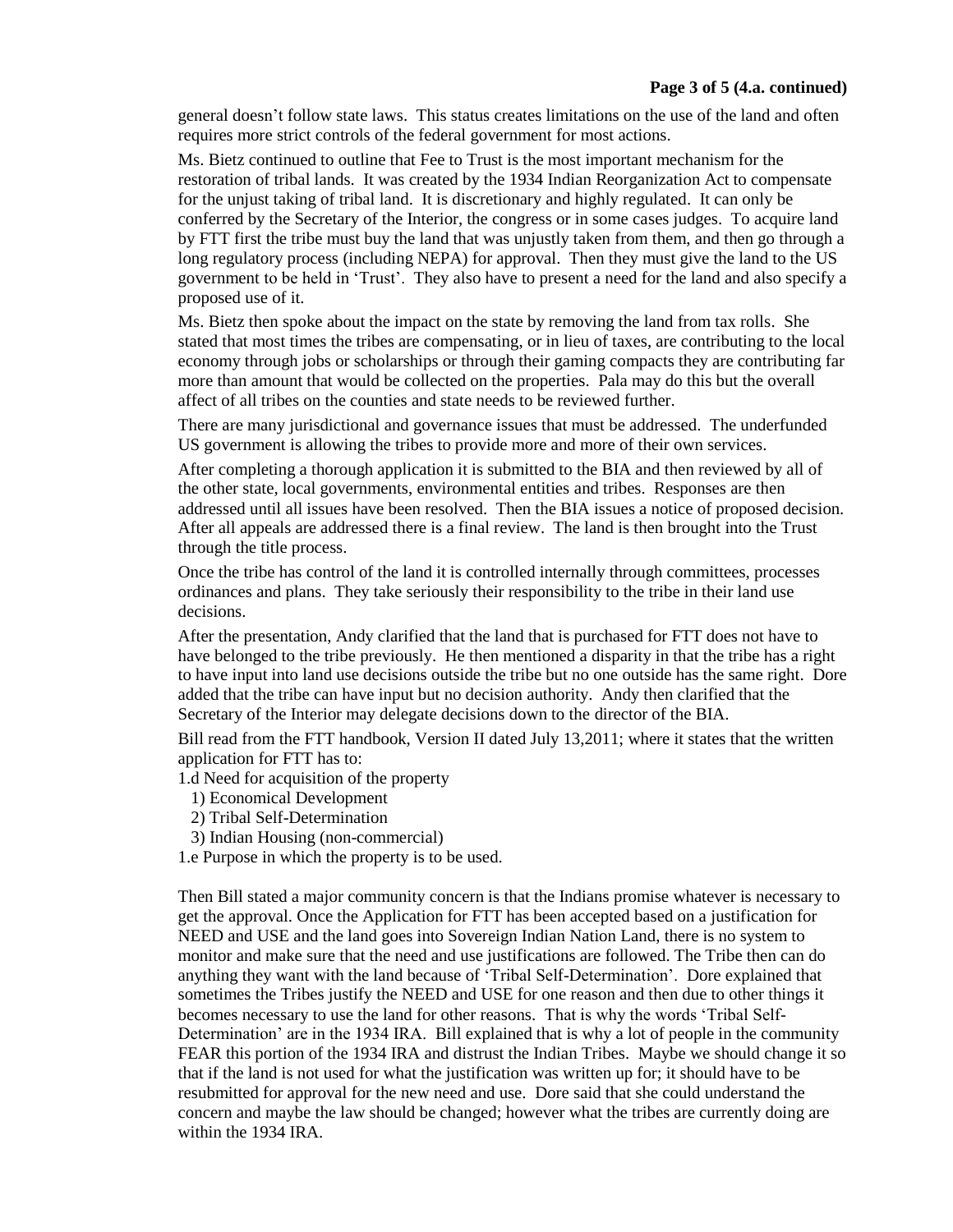general doesn't follow state laws. This status creates limitations on the use of the land and often requires more strict controls of the federal government for most actions.

Ms. Bietz continued to outline that Fee to Trust is the most important mechanism for the restoration of tribal lands. It was created by the 1934 Indian Reorganization Act to compensate for the unjust taking of tribal land. It is discretionary and highly regulated. It can only be conferred by the Secretary of the Interior, the congress or in some cases judges. To acquire land by FTT first the tribe must buy the land that was unjustly taken from them, and then go through a long regulatory process (including NEPA) for approval. Then they must give the land to the US government to be held in 'Trust'. They also have to present a need for the land and also specify a proposed use of it.

Ms. Bietz then spoke about the impact on the state by removing the land from tax rolls. She stated that most times the tribes are compensating, or in lieu of taxes, are contributing to the local economy through jobs or scholarships or through their gaming compacts they are contributing far more than amount that would be collected on the properties. Pala may do this but the overall affect of all tribes on the counties and state needs to be reviewed further.

There are many jurisdictional and governance issues that must be addressed. The underfunded US government is allowing the tribes to provide more and more of their own services.

After completing a thorough application it is submitted to the BIA and then reviewed by all of the other state, local governments, environmental entities and tribes. Responses are then addressed until all issues have been resolved. Then the BIA issues a notice of proposed decision. After all appeals are addressed there is a final review. The land is then brought into the Trust through the title process.

Once the tribe has control of the land it is controlled internally through committees, processes ordinances and plans. They take seriously their responsibility to the tribe in their land use decisions.

After the presentation, Andy clarified that the land that is purchased for FTT does not have to have belonged to the tribe previously. He then mentioned a disparity in that the tribe has a right to have input into land use decisions outside the tribe but no one outside has the same right. Dore added that the tribe can have input but no decision authority. Andy then clarified that the Secretary of the Interior may delegate decisions down to the director of the BIA.

Bill read from the FTT handbook, Version II dated July 13,2011; where it states that the written application for FTT has to:

1.d Need for acquisition of the property

- 1) Economical Development
- 2) Tribal Self-Determination
- 3) Indian Housing (non-commercial)

1.e Purpose in which the property is to be used.

Then Bill stated a major community concern is that the Indians promise whatever is necessary to get the approval. Once the Application for FTT has been accepted based on a justification for NEED and USE and the land goes into Sovereign Indian Nation Land, there is no system to monitor and make sure that the need and use justifications are followed. The Tribe then can do anything they want with the land because of 'Tribal Self-Determination'. Dore explained that sometimes the Tribes justify the NEED and USE for one reason and then due to other things it becomes necessary to use the land for other reasons. That is why the words 'Tribal Self-Determination' are in the 1934 IRA. Bill explained that is why a lot of people in the community FEAR this portion of the 1934 IRA and distrust the Indian Tribes. Maybe we should change it so that if the land is not used for what the justification was written up for; it should have to be resubmitted for approval for the new need and use. Dore said that she could understand the concern and maybe the law should be changed; however what the tribes are currently doing are within the 1934 IRA.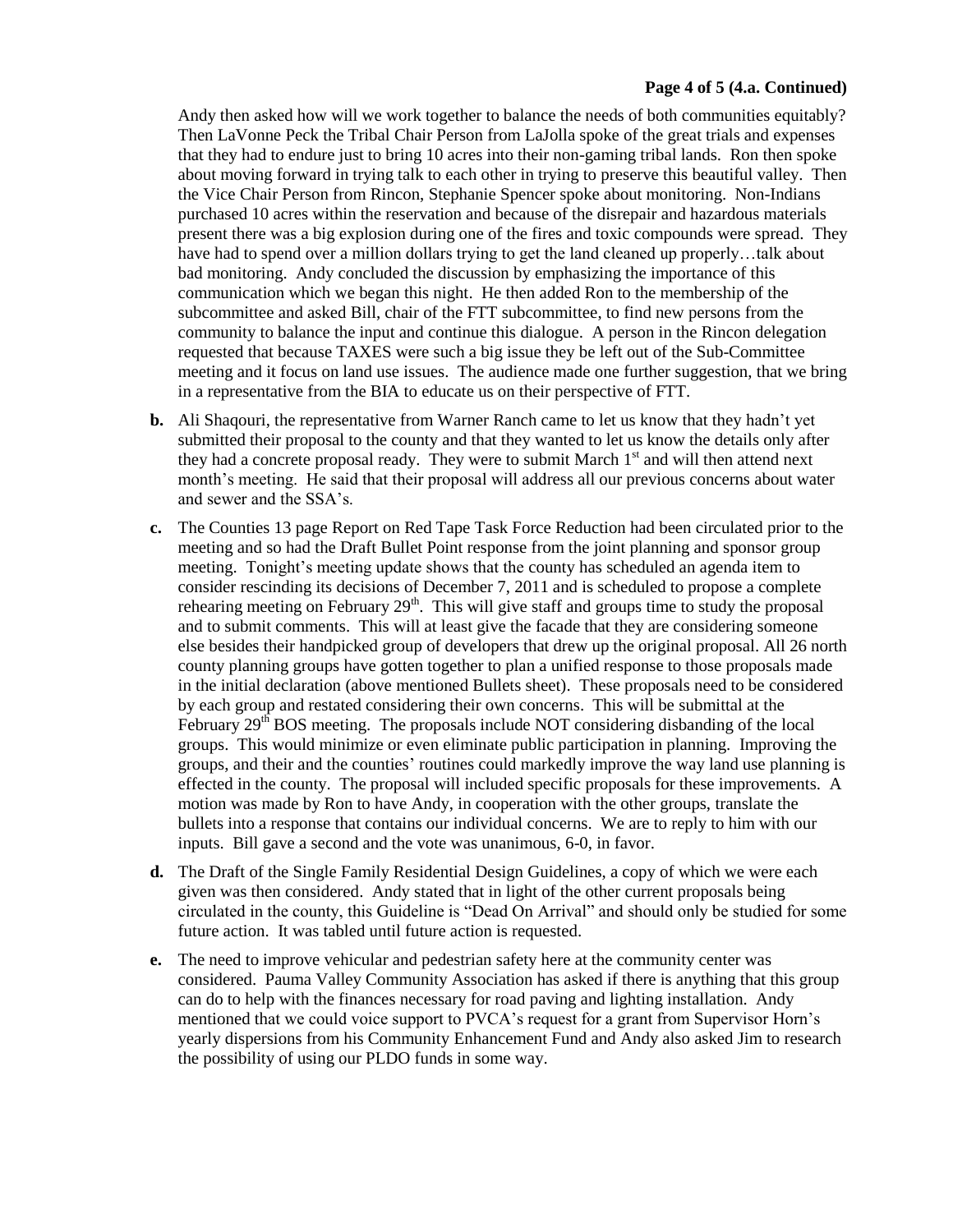#### **Page 4 of 5 (4.a. Continued)**

Andy then asked how will we work together to balance the needs of both communities equitably? Then LaVonne Peck the Tribal Chair Person from LaJolla spoke of the great trials and expenses that they had to endure just to bring 10 acres into their non-gaming tribal lands. Ron then spoke about moving forward in trying talk to each other in trying to preserve this beautiful valley. Then the Vice Chair Person from Rincon, Stephanie Spencer spoke about monitoring. Non-Indians purchased 10 acres within the reservation and because of the disrepair and hazardous materials present there was a big explosion during one of the fires and toxic compounds were spread. They have had to spend over a million dollars trying to get the land cleaned up properly…talk about bad monitoring. Andy concluded the discussion by emphasizing the importance of this communication which we began this night. He then added Ron to the membership of the subcommittee and asked Bill, chair of the FTT subcommittee, to find new persons from the community to balance the input and continue this dialogue. A person in the Rincon delegation requested that because TAXES were such a big issue they be left out of the Sub-Committee meeting and it focus on land use issues. The audience made one further suggestion, that we bring in a representative from the BIA to educate us on their perspective of FTT.

- **b.** Ali Shaqouri, the representative from Warner Ranch came to let us know that they hadn't yet submitted their proposal to the county and that they wanted to let us know the details only after they had a concrete proposal ready. They were to submit March  $1<sup>st</sup>$  and will then attend next month's meeting. He said that their proposal will address all our previous concerns about water and sewer and the SSA's.
- **c.** The Counties 13 page Report on Red Tape Task Force Reduction had been circulated prior to the meeting and so had the Draft Bullet Point response from the joint planning and sponsor group meeting. Tonight's meeting update shows that the county has scheduled an agenda item to consider rescinding its decisions of December 7, 2011 and is scheduled to propose a complete rehearing meeting on February  $29<sup>th</sup>$ . This will give staff and groups time to study the proposal and to submit comments. This will at least give the facade that they are considering someone else besides their handpicked group of developers that drew up the original proposal. All 26 north county planning groups have gotten together to plan a unified response to those proposals made in the initial declaration (above mentioned Bullets sheet). These proposals need to be considered by each group and restated considering their own concerns. This will be submittal at the February  $29<sup>th</sup>$  BOS meeting. The proposals include NOT considering disbanding of the local groups. This would minimize or even eliminate public participation in planning. Improving the groups, and their and the counties' routines could markedly improve the way land use planning is effected in the county. The proposal will included specific proposals for these improvements. A motion was made by Ron to have Andy, in cooperation with the other groups, translate the bullets into a response that contains our individual concerns. We are to reply to him with our inputs. Bill gave a second and the vote was unanimous, 6-0, in favor.
- **d.** The Draft of the Single Family Residential Design Guidelines, a copy of which we were each given was then considered. Andy stated that in light of the other current proposals being circulated in the county, this Guideline is "Dead On Arrival" and should only be studied for some future action. It was tabled until future action is requested.
- **e.** The need to improve vehicular and pedestrian safety here at the community center was considered. Pauma Valley Community Association has asked if there is anything that this group can do to help with the finances necessary for road paving and lighting installation. Andy mentioned that we could voice support to PVCA's request for a grant from Supervisor Horn's yearly dispersions from his Community Enhancement Fund and Andy also asked Jim to research the possibility of using our PLDO funds in some way.